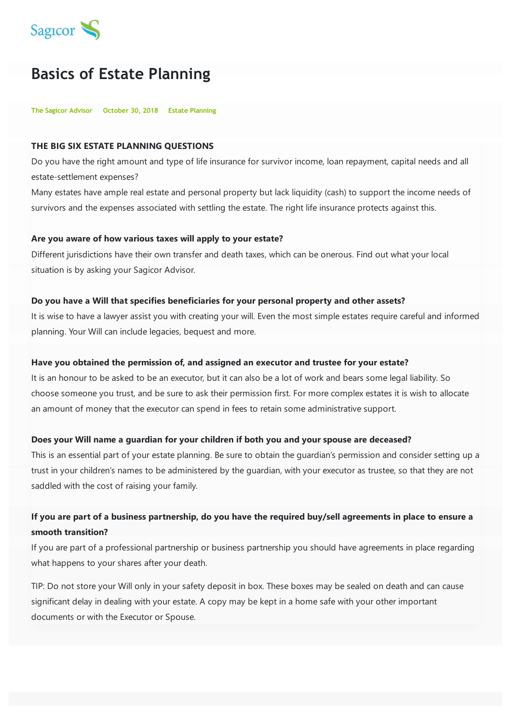

# **Basics of Estate Planning**

**The Sagicor Advisor October 30, 2018 Estate Planning**

### **THE BIG SIX ESTATE PLANNING QUESTIONS**

Do you have the right amount and type of life insurance for survivor income, loan repayment, capital needs and all estate-settlement expenses?

Many estates have ample real estate and personal property but lack liquidity (cash) to support the income needs of survivors and the expenses associated with settling the estate. The right life insurance protects against this.

### **Are you aware of how various taxes will apply to your estate?**

Different jurisdictions have their own transfer and death taxes, which can be onerous. Find out what your local situation is by asking your Sagicor Advisor.

#### **Do you have a Will that specifies beneficiaries for your personal property and other assets?**

It is wise to have a lawyer assist you with creating your will. Even the most simple estates require careful and informed planning. Your Will can include legacies, bequest and more.

#### **Have you obtained the permission of, and assigned an executor and trustee for your estate?**

It is an honour to be asked to be an executor, but it can also be a lot of work and bears some legal liability. So choose someone you trust, and be sure to ask their permission first. For more complex estates it is wish to allocate an amount of money that the executor can spend in fees to retain some administrative support.

#### **Does your Will name a guardian for your children if both you and your spouse are deceased?**

This is an essential part of your estate planning. Be sure to obtain the guardian's permission and consider setting up a trust in your children's names to be administered by the guardian, with your executor as trustee, so that they are not saddled with the cost of raising your family.

## If you are part of a business partnership, do you have the required buy/sell agreements in place to ensure a **smooth transition?**

If you are part of a professional partnership or business partnership you should have agreements in place regarding what happens to your shares after your death.

TIP: Do not store your Will only in your safety deposit in box. These boxes may be sealed on death and can cause significant delay in dealing with your estate. A copy may be kept in a home safe with your other important documents or with the Executor or Spouse.